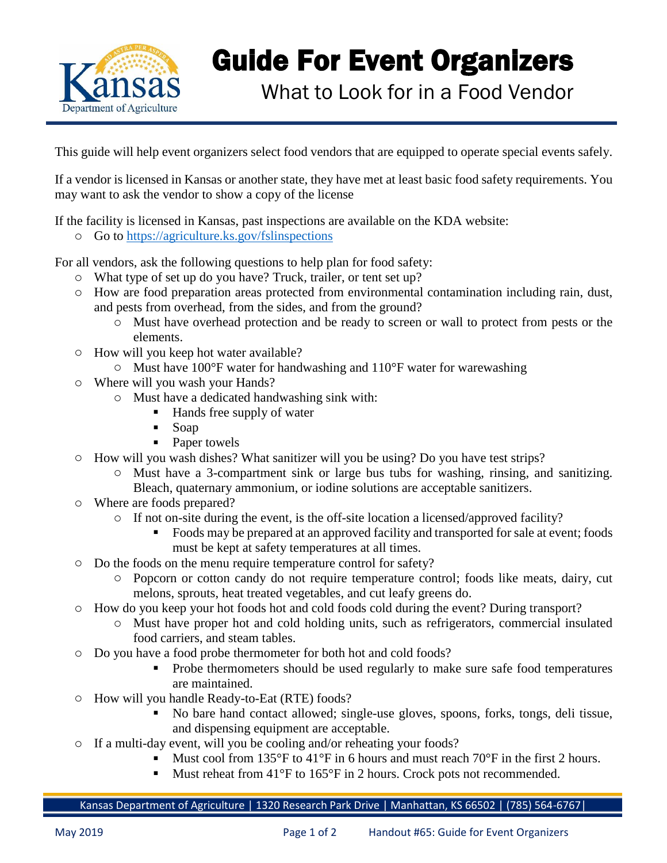

## Guide For Event Organizers

What to Look for in a Food Vendor

This guide will help event organizers select food vendors that are equipped to operate special events safely.

If a vendor is licensed in Kansas or another state, they have met at least basic food safety requirements. You may want to ask the vendor to show a copy of the license

If the facility is licensed in Kansas, past inspections are available on the KDA website:

o Go to<https://agriculture.ks.gov/fslinspections>

For all vendors, ask the following questions to help plan for food safety:

- o What type of set up do you have? Truck, trailer, or tent set up?
- o How are food preparation areas protected from environmental contamination including rain, dust, and pests from overhead, from the sides, and from the ground?
	- o Must have overhead protection and be ready to screen or wall to protect from pests or the elements.
- o How will you keep hot water available?
	- o Must have 100°F water for handwashing and 110°F water for warewashing
- o Where will you wash your Hands?
	- o Must have a dedicated handwashing sink with:
		- Hands free supply of water
		- Soap
		- Paper towels
- o How will you wash dishes? What sanitizer will you be using? Do you have test strips?
	- o Must have a 3-compartment sink or large bus tubs for washing, rinsing, and sanitizing. Bleach, quaternary ammonium, or iodine solutions are acceptable sanitizers.
- o Where are foods prepared?
	- o If not on-site during the event, is the off-site location a licensed/approved facility?
		- Foods may be prepared at an approved facility and transported for sale at event; foods must be kept at safety temperatures at all times.
- o Do the foods on the menu require temperature control for safety?
	- o Popcorn or cotton candy do not require temperature control; foods like meats, dairy, cut melons, sprouts, heat treated vegetables, and cut leafy greens do.
- o How do you keep your hot foods hot and cold foods cold during the event? During transport?
	- o Must have proper hot and cold holding units, such as refrigerators, commercial insulated food carriers, and steam tables.
- o Do you have a food probe thermometer for both hot and cold foods?
	- Probe thermometers should be used regularly to make sure safe food temperatures are maintained.
- o How will you handle Ready-to-Eat (RTE) foods?
	- No bare hand contact allowed; single-use gloves, spoons, forks, tongs, deli tissue, and dispensing equipment are acceptable.
- o If a multi-day event, will you be cooling and/or reheating your foods?
	- E Must cool from 135°F to 41°F in 6 hours and must reach 70°F in the first 2 hours.
	- Must reheat from  $41^{\circ}$ F to  $165^{\circ}$ F in 2 hours. Crock pots not recommended.